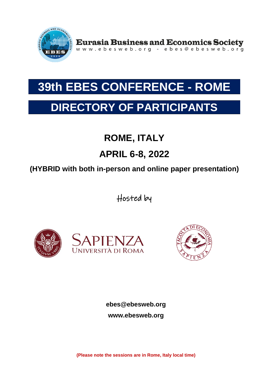

Eurasia Business and Economics Society<br>www.ebesweb.org - ebes@ebesweb.org

# **39th EBES CONFERENCE - ROME**

## **DIRECTORY OF PARTICIPANTS**

## **ROME, ITALY**

## **APRIL 6-8, 2022**

### **(HYBRID with both in-person and online paper presentation)**

Hosted by





**ebes@ebesweb.org www.ebesweb.org**

**(Please note the sessions are in Rome, Italy local time)**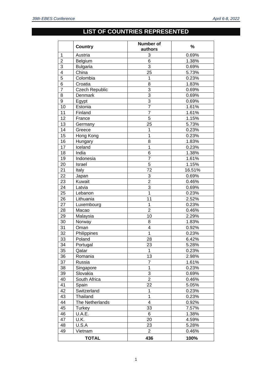### **LIST OF COUNTRIES REPRESENTED**

|                | <b>Country</b>        | Number of<br>authors | %      |
|----------------|-----------------------|----------------------|--------|
| 1              | Austria               | 3                    | 0.69%  |
| $\overline{2}$ | Belgium               | 6                    | 1.38%  |
| 3              | <b>Bulgaria</b>       | 3                    | 0.69%  |
| 4              | China                 | 25                   | 5.73%  |
| 5              | Colombia              | 1                    | 0.23%  |
| 6              | Croatia               | 8                    | 1.83%  |
| $\overline{7}$ | <b>Czech Republic</b> | 3                    | 0.69%  |
| 8              | Denmark               | $\overline{3}$       | 0.69%  |
| 9              | Egypt                 | $\overline{3}$       | 0.69%  |
| 10             | Estonia               | $\overline{7}$       | 1.61%  |
| 11             | Finland               | $\overline{7}$       | 1.61%  |
| 12             | France                | 5                    | 1.15%  |
| 13             | Germany               | 25                   | 5.73%  |
| 14             | Greece                | 1                    | 0.23%  |
| 15             | Hong Kong             | 1                    | 0.23%  |
| 16             | Hungary               | 8                    | 1.83%  |
| 17             | Iceland               | 1                    | 0.23%  |
| 18             | India                 | 6                    | 1.38%  |
| 19             | Indonesia             | $\overline{7}$       | 1.61%  |
| 20             | Israel                | 5                    | 1.15%  |
| 21             | Italy                 | 72                   | 16.51% |
| 22             | Japan                 | 3                    | 0.69%  |
| 23             | Kuwait                | $\overline{2}$       | 0.46%  |
| 24             | Latvia                | 3                    | 0.69%  |
| 25             | Lebanon               | 1                    | 0.23%  |
| 26             | Lithuania             | 11                   | 2.52%  |
| 27             | Luxembourg            | 1                    | 0.23%  |
| 28             | Macao                 | $\overline{2}$       | 0.46%  |
| 29             | Malaysia              | 10                   | 2.29%  |
| 30             | Norway                | 8                    | 1.83%  |
| 31             | Oman                  | 4                    | 0.92%  |
| 32             | Philippines           | $\overline{1}$       | 0.23%  |
| 33             | Poland                | 28                   | 6.42%  |
| 34             | Portugal              | 23                   | 5.28%  |
| 35             | Qatar                 | 1                    | 0.23%  |
| 36             | Romania               | 13                   | 2.98%  |
| 37             | Russia                | $\overline{7}$       | 1.61%  |
| 38             | Singapore             | $\mathbf 1$          | 0.23%  |
| 39             | Slovakia              | $\overline{3}$       | 0.69%  |
| 40             | South Africa          | $\overline{2}$       | 0.46%  |
| 41             | Spain                 | 22                   | 5.05%  |
| 42             | Switzerland           | 1                    | 0.23%  |
| 43             | Thailand              | $\mathbf 1$          | 0.23%  |
| 44             | The Netherlands       | $\overline{4}$       | 0.92%  |
| 45             | Turkey                | 33                   | 7.57%  |
| 46             | U.A.E.                | 6                    | 1.38%  |
| 47             | U.K.                  | 20                   | 4.59%  |
| 48             | U.S.A                 | 23                   | 5.28%  |
| 49             | Vietnam               | $\overline{2}$       | 0.46%  |
|                | <b>TOTAL</b>          | 436                  | 100%   |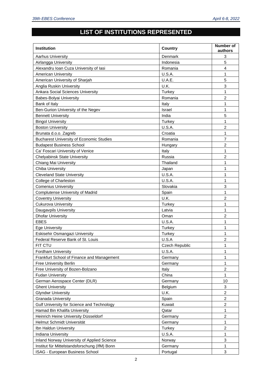### **LIST OF INSTITUTIONS REPRESENTED**

| <b>Institution</b>                              | <b>Country</b>        | Number of<br>authors    |
|-------------------------------------------------|-----------------------|-------------------------|
| Aarhus University                               | Denmark               | 3                       |
| Airlangga University                            | Indonesia             | 5                       |
| Alexandru Ioan Cuza University of Iasi          | Romania               | $\overline{4}$          |
| American University                             | U.S.A.                | 1                       |
| American University of Sharjah                  | U.A.E.                | 5                       |
| Anglia Ruskin University                        | U.K.                  | 3                       |
| Ankara Social Sciences University               | Turkey                | 1                       |
| Babes-Bolyai University                         | Romania               | $\overline{c}$          |
| Bank of Italy                                   | Italy                 | 1                       |
| Ben-Gurion University of the Negev              | Israel                | 1                       |
| <b>Bennett University</b>                       | India                 | 5                       |
| <b>Bingol University</b>                        | Turkey                | 1                       |
| <b>Boston University</b>                        | U.S.A.                | $\overline{2}$          |
| Brunata d.o.o. Zagreb                           | Croatia               | 1                       |
| <b>Bucharest University of Economic Studies</b> | Romania               | $\overline{7}$          |
| <b>Budapest Business School</b>                 | Hungary               | $\overline{c}$          |
| Ca' Foscari University of Venice                | Italy                 | 1                       |
| <b>Chelyabinsk State University</b>             | Russia                | $\overline{c}$          |
| Chiang Mai University                           | Thailand              | 1                       |
| Chiba University                                | Japan                 | 1                       |
| <b>Cleveland State University</b>               | U.S.A.                | 1                       |
| College of Charleston                           | U.S.A.                | 1                       |
| <b>Comenius University</b>                      | Slovakia              | 3                       |
| <b>Complutense University of Madrid</b>         | Spain                 | 1                       |
| <b>Coventry University</b>                      | U.K.                  | $\overline{2}$          |
| Cukurova University                             | Turkey                | 1                       |
| Daugavpils University                           | Latvia                | 1                       |
| <b>Dhofar University</b>                        | Oman                  | $\overline{c}$          |
| <b>EBES</b>                                     | U.S.A.                | 1                       |
| <b>Ege University</b>                           | Turkey                | 1                       |
| Eskisehir Osmangazi University                  | Turkey                | 1                       |
| Federal Reserve Bank of St. Louis               | U.S.A                 | 2                       |
| FIT CTU                                         | <b>Czech Republic</b> | 1                       |
| <b>Fordham University</b>                       | U.S.A.                | 1                       |
| Frankfurt School of Finance and Management      | Germany               | 1                       |
| Free University Berlin                          | Germany               | 1                       |
| Free University of Bozen-Bolzano                | Italy                 | $\overline{c}$          |
| <b>Fudan University</b>                         | China                 | 1                       |
| German Aerospace Center (DLR)                   | Germany               | 10                      |
| <b>Ghent University</b>                         | Belgium               | 3                       |
| <b>Glyndwr University</b>                       | U.K.                  | 2                       |
| <b>Granada University</b>                       | Spain                 | $\overline{c}$          |
| Gulf University for Science and Technology      | Kuwait                | $\overline{\mathbf{c}}$ |
| Hamad Bin Khalifa University                    | Qatar                 | 1                       |
| Heinrich Heine University Düsseldorf            | Germany               | $\overline{c}$          |
| Helmut Schmidt Universität                      | Germany               | 1                       |
| Ibn Haldun University                           | Turkey                | 2                       |
| Indiana University                              | U.S.A.                | 1                       |
| Inland Norway University of Applied Science     | Norway                | 3                       |
| Institut für Mittelstandsforschung (IfM) Bonn   | Germany               | 1                       |
| ISAG - European Business School                 | Portugal              | 3                       |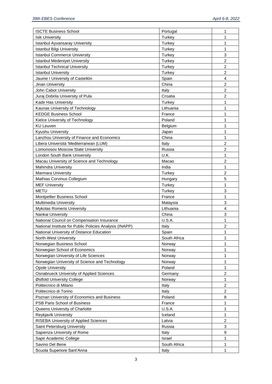| <b>ISCTE Business School</b>                            | Portugal      | 1                |
|---------------------------------------------------------|---------------|------------------|
| <b>Isik University</b>                                  | Turkey        | 1                |
| <b>Istanbul Ayvansaray University</b>                   | Turkey        | 1                |
| Istanbul Bilgi University                               | Turkey        | $\mathbf{1}$     |
| <b>Istanbul Commerce University</b>                     | Turkey        | 3                |
| <b>Istanbul Medeniyet University</b>                    | Turkey        | $\overline{2}$   |
| <b>Istanbul Technical University</b>                    | Turkey        | $\overline{c}$   |
| <b>Istanbul University</b>                              | Turkey        | $\overline{c}$   |
| Jaume I University of Castellón                         | Spain         | $\overline{4}$   |
| Jinan University                                        | China         | $\overline{2}$   |
| John Cabot University                                   | Italy         | $\overline{2}$   |
| Juraj Dobrila University of Pula                        | Croatia       | $\overline{c}$   |
| Kadir Has University                                    | Turkey        | 1                |
| Kaunas University of Technology                         | Lithuania     | $\mathbf{1}$     |
| <b>KEDGE Business School</b>                            | France        | 1                |
| Kielce University of Technology                         | Poland        | $\mathbf{1}$     |
| <b>KU Leuven</b>                                        | Belgium       | 1                |
| Kyushu University                                       | Japan         | 1                |
| Lanzhou University of Finance and Economics             | China         | $\mathbf{1}$     |
| Libera Università 'Mediterranean (LUM)                  | Italy         | $\overline{c}$   |
| Lomonosov Moscow State University                       | Russia        | $\overline{c}$   |
| London South Bank University                            | U.K.          | 1                |
| Macau University of Science and Technology              | Macao         | $\overline{c}$   |
| <b>Mahindra University</b>                              | India         | 1                |
| Marmara University                                      | Turkey        | $\overline{c}$   |
| Mathias Corvinus Collegium                              | Hungary       | 5                |
| <b>MEF University</b>                                   | Turkey        | $\mathbf{1}$     |
| <b>METU</b>                                             | <b>Turkey</b> | 3                |
| Montpellier Business School                             | France        | 1                |
| Multimedia University                                   | Malaysia      | 3                |
| Mykolas Romeris University                              | Lithuania     | $\overline{4}$   |
| Nankai University                                       | China         | 3                |
| National Council on Compensation Insurance              | U.S.A.        | 1                |
| National Institute for Public Policies Analysis (INAPP) | Italy         | $\overline{c}$   |
| National University of Distance Education               | Spain         |                  |
| North-West University                                   | South Africa  | 1                |
| Norwegian Business School                               | Norway        | 1                |
| Norwegian School of Economics                           | Norway        | $\mathbf{1}$     |
| Norwegian University of Life Sciences                   | Norway        | $\mathbf{1}$     |
| Norwegian University of Science and Technology          | Norway        | 1                |
| <b>Opole University</b>                                 | Poland        | $\mathbf{1}$     |
| <b>Osnabrueck University of Applied Sciences</b>        | Germany       | $\boldsymbol{2}$ |
| Østfold University College                              | Norway        | $\mathbf{1}$     |
| Politecnico di Milano                                   | Italy         | $\overline{2}$   |
| Politecnico di Torino                                   | Italy         | $\overline{c}$   |
| Poznan University of Economics and Business             | Poland        | 8                |
| PSB Paris School of Business                            | France        | 1                |
| Queens University of Charlotte                          | U.S.A.        | 1                |
| Reykjavik University                                    | Iceland       | 1                |
| RISEBA University of Applied Sciences                   | Latvia        | $\overline{c}$   |
| Saint Petersburg University                             | Russia        | 3                |
| Sapienza University of Rome                             | Italy         | 9                |
| Sapir Academic College                                  | Israel        | 1                |
| Savino Del Bene                                         | South Africa  | 1                |
| Scuola Superiore Sant'Anna                              | Italy         | 1                |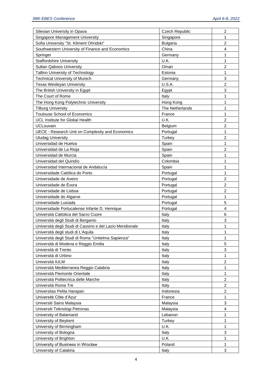| Silesian University in Opava                              | <b>Czech Republic</b> | $\boldsymbol{2}$ |
|-----------------------------------------------------------|-----------------------|------------------|
| Singapore Management University                           | Singapore             | 1                |
| Sofia University "St. Kliment Ohridski"                   | <b>Bulgaria</b>       | $\overline{2}$   |
| Southwestern University of Finance and Economics          | China                 | $\overline{4}$   |
| Springer                                                  | Germany               | 1                |
| <b>Staffordshire University</b>                           | U.K.                  | 1                |
| <b>Sultan Qaboos University</b>                           | Oman                  | $\overline{c}$   |
| Tallinn University of Technology                          | Estonia               | $\mathbf{1}$     |
| <b>Technical University of Munich</b>                     | Germany               | 3                |
| <b>Texas Wesleyan University</b>                          | U.S.A.                | $\overline{c}$   |
| The British University in Egypt                           | Egypt                 | 3                |
| The Court of Rome                                         | Italy                 | $\mathbf{1}$     |
| The Hong Kong Polytechnic University                      | Hong Kong             | 1                |
| <b>Tilburg University</b>                                 | The Netherlands       | $\mathbf{1}$     |
|                                                           | France                | $\mathbf{1}$     |
| <b>Toulouse School of Economics</b>                       |                       |                  |
| UCL Institute for Global Health                           | U.K.                  | $\overline{c}$   |
| <b>UCLouvain</b>                                          | Belgium               | $\overline{c}$   |
| UECE - Research Unit on Complexity and Economics          | Portugal              | $\mathbf{1}$     |
| <b>Uludag University</b>                                  | Turkey                | $\overline{2}$   |
| Universidad de Huelva                                     | Spain                 | $\mathbf{1}$     |
| Universidad de La Rioja                                   | Spain                 | $\overline{c}$   |
| Universidad de Murcia                                     | Spain                 | $\mathbf{1}$     |
| Universidad del Quindío                                   | Colombia              | $\mathbf{1}$     |
| Universidad Internacional de Andalucía                    | Spain                 | $\mathbf{1}$     |
| Universidade Católica do Porto                            | Portugal              | $\mathbf{1}$     |
| Universidade de Aveiro                                    | Portugal              | $\overline{c}$   |
| Universidade de Evora                                     | Portugal              | $\overline{c}$   |
| Universidade de Lisboa                                    | Portugal              | $\overline{2}$   |
| Universidade do Algarve                                   | Portugal              | $\mathbf{1}$     |
| Universidade Lusíada                                      | Portugal              | 5                |
| Universidade Portucalense Infante D. Henrique             | Portugal              | $\overline{4}$   |
| Università Cattolica del Sacro Cuore                      | Italy                 | 6                |
| Università degli Studi di Bergamo                         | Italy                 | 3                |
| Università degli Studi di Cassino e del Lazio Meridionale | Italy                 | 1                |
| Università degli studi di L'Aquila                        | Italy                 | 1                |
| Università degli Studi di Roma "Unitelma Sapienza"        | Italy                 | 1                |
| Università di Modena e Reggio Emilia                      | Italy                 | 5                |
| Università di Trento                                      | Italy                 | 3                |
| Università di Urbino                                      | Italy                 | 1                |
| Università IULM                                           | Italy                 | $\overline{2}$   |
| Università Mediterranea Reggio Calabria                   | Italy                 | 1                |
| Università Piemonte Orientale                             | Italy                 | 1                |
| Università Politecnica delle Marche                       | Italy                 | $\overline{c}$   |
| Università Roma Tre                                       | Italy                 | $\overline{2}$   |
| Universitas Pelita Harapan                                | Indonesia             | 2                |
| Université Côte d'Azur                                    | France                | 1                |
| Universiti Sains Malaysia                                 | Malaysia              | 3                |
| Universiti Teknologi Petronas                             | Malaysia              | $\overline{4}$   |
| University of Balamand                                    | Lebanon               | 1                |
| University of Beykent                                     | Turkey                | 1                |
| University of Birmingham                                  | U.K.                  | $\mathbf{1}$     |
| University of Bologna                                     | Italy                 | 3                |
| University of Brighton                                    | U.K.                  | $\mathbf{1}$     |
| University of Business in Wrocław                         | Poland                | $\mathbf{1}$     |
| University of Calabria                                    | Italy                 | 3                |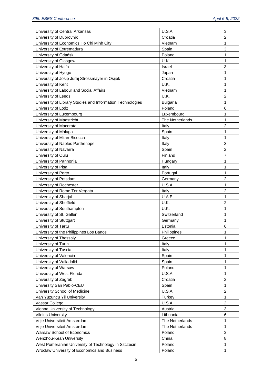| University of Central Arkansas                             | U.S.A.          | 3                |
|------------------------------------------------------------|-----------------|------------------|
| University of Dubrovnik                                    | Croatia         | 2                |
| University of Economics Ho Chi Minh City                   | Vietnam         | 1                |
| University of Extremadura                                  | Spain           | 3                |
| University of Gdańsk                                       | Poland          | $\mathbf{1}$     |
| University of Glasgow                                      | U.K.            | 1                |
| University of Haifa                                        | Israel          | 3                |
| University of Hyogo                                        | Japan           | 1                |
| University of Josip Juraj Strossmayer in Osijek            | Croatia         | $\mathbf{1}$     |
| University of Kent                                         | U.K.            | $\mathbf{1}$     |
| University of Labour and Social Affairs                    | Vietnam         | 1                |
| University of Leeds                                        | U.K.            | $\overline{c}$   |
| University of Library Studies and Information Technologies | <b>Bulgaria</b> | $\mathbf{1}$     |
| University of Lodz                                         | Poland          | 6                |
| University of Luxembourg                                   | Luxembourg      | 1                |
| University of Maastricht                                   | The Netherlands | $\mathbf{1}$     |
| University of Macerata                                     | Italy           | $\overline{c}$   |
| University of Málaga                                       | Spain           | $\mathbf{1}$     |
| University of Milan-Bicocca                                | Italy           | $\mathbf{1}$     |
| University of Naples Parthenope                            | Italy           | 3                |
| University of Navarra                                      | Spain           | $\overline{c}$   |
| University of Oulu                                         | Finland         | $\overline{7}$   |
| University of Pannonia                                     | Hungary         | $\mathbf{1}$     |
| University of Pisa                                         | Italy           | $\mathbf{1}$     |
| University of Porto                                        | Portugal        | 1                |
| University of Potsdam                                      | Germany         | $\overline{2}$   |
| University of Rochester                                    | U.S.A.          | $\mathbf{1}$     |
| University of Rome Tor Vergata                             | Italy           | $\overline{c}$   |
| University of Sharjah                                      | U.A.E.          | $\mathbf{1}$     |
| University of Sheffield                                    | U.K.            | $\overline{c}$   |
| University of Southampton                                  | U.K.            | $\mathbf{1}$     |
| University of St. Gallen                                   | Switzerland     | $\mathbf{1}$     |
| University of Stuttgart                                    | Germany         | 1                |
| University of Tartu                                        | Estonia         | 6                |
| University of the Philippines Los Banos                    | Philippines     | 1                |
| University of Thessaly                                     | Greece          | 1                |
| University of Turin                                        | Italy           | 1                |
| University of Tuscia                                       | Italy           | $\mathbf{1}$     |
| University of Valencia                                     | Spain           | 1                |
| University of Valladolid                                   | Spain           | 1                |
| University of Warsaw                                       | Poland          | $\mathbf{1}$     |
| University of West Florida                                 | U.S.A.          | $\mathbf{1}$     |
| University of Zagreb                                       | Croatia         | $\boldsymbol{2}$ |
| University San Pablo-CEU                                   | Spain           | $\mathbf{1}$     |
| University School of Medicine                              | U.S.A.          | $\overline{2}$   |
| Van Yuzuncu Yil University                                 | Turkey          | $\mathbf{1}$     |
| Vassar College                                             | U.S.A.          | $\overline{c}$   |
| Vienna University of Technology                            | Austria         | 3                |
| <b>Vilnius University</b>                                  | Lithuania       | 6                |
| Vrije Universiteit Amsterdam                               | The Netherlands | 1                |
| Vrije Universiteit Amsterdam                               | The Netherlands | $\mathbf{1}$     |
| Warsaw School of Economics                                 | Poland          | 3                |
| Wenzhou-Kean University                                    | China           | 8                |
| West Pomeranian University of Technology in Szczecin       | Poland          | $\mathbf{1}$     |
| Wroclaw University of Economics and Business               | Poland          | 1                |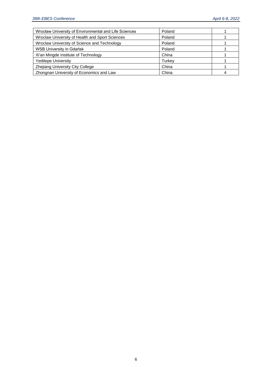| Wrocław University of Environmental and Life Sciences | Poland |  |
|-------------------------------------------------------|--------|--|
| Wroclaw University of Health and Sport Sciences       | Poland |  |
| Wroclaw University of Science and Technology          | Poland |  |
| <b>WSB University in Gdańsk</b>                       | Poland |  |
| Xi'an Mingde Institute of Technology                  | China  |  |
| Yeditepe University                                   | Turkev |  |
| Zhejiang University City College                      | China  |  |
| Zhongnan University of Economics and Law              | China  |  |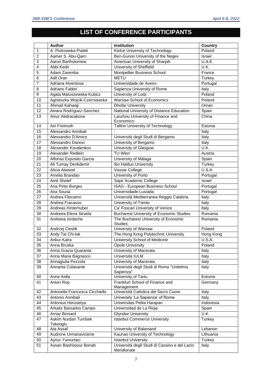#### **LIST OF CONFERENCE PARTICIPANTS**

|                  | <b>Author</b>                          | <b>Institution</b>                                     | <b>Country</b> |
|------------------|----------------------------------------|--------------------------------------------------------|----------------|
| $\overline{1}$   | A. Piotrowska-Piatek                   | Kielce University of Technology                        | Poland         |
| $\overline{2}$   | Aamer S. Abu-Qarn                      | Ben-Gurion University of the Negev                     | Israel         |
| $\overline{3}$   | Aaron Bartholomew                      | American University of Sharjah                         | U.A.E.         |
| $\overline{4}$   | Abbi Kedir                             | University of Sheffield                                | U.K.           |
| $\overline{5}$   | Adam Zaremba                           | Montpellier Business School                            | France         |
| $6\phantom{1}6$  | Adil Oran                              | <b>METU</b>                                            | Turkey         |
| $\overline{7}$   | Adriana Alventosa                      | Universidade de Aveiro                                 | Portugal       |
| 8                | Adriano Fabbri                         | Sapienza University of Rome                            | Italy          |
| $\boldsymbol{9}$ | Agata Matuszewska-Kubicz               | University of Lodz                                     | Poland         |
| 10               | Agnieszka Wojcik-Czerniawska           | Warsaw School of Economics                             | Poland         |
| 11               | Ahmad Kahwaji                          | <b>Dhofar University</b>                               | Oman           |
| 12               | Ainara Rodríguez-Sanchez               | National University of Distance Education              | Spain          |
| 13               | Ainur Abdrazakova                      | Lanzhou University of Finance and                      | China          |
|                  |                                        | Economics                                              |                |
| 14               | Airi Freimuth                          | Tallinn University of Technology                       | Estonia        |
| 15               | Alessandro Annibali                    |                                                        | Italy          |
| 16               | Alessandro D'Amico                     | Università degli Studi di Bergamo                      | Italy          |
| 17               | Alessandro Danovi                      | University of Bergamo                                  | Italy          |
| 18               | Alexander Kovalenkov                   | University of Glasgow                                  | U.K.           |
| 19               | Alexander Redlein                      | <b>TU Wien</b>                                         | Austria        |
| 20               | Alfonso Exposito Garcia                | University of Málaga                                   | Spain          |
| 21               | Ali Tumay Denkdemir                    | Ibn Haldun University                                  | <b>Turkey</b>  |
| 22               | Alicia Atwood                          | Vassar College                                         | <b>U.S.A.</b>  |
| 23               | Amelia Brandao                         | University of Porto                                    | Portugal       |
| 24               | Amit Shelef                            | Sapir Academic College                                 | Israel         |
| 25               | Ana Pinto Borges                       | ISAG - European Business School                        | Portugal       |
| 26               | Ana Sousa                              | Universidade Lusíada                                   | Portugal       |
| 27               | Andrea Filocamo                        | Università Mediterranea Reggio Calabria                | <b>T</b> taly  |
| 28               | Andrea Fracasso                        | University of Trento                                   | Italy          |
| 29               | Andreas Hinterhuber                    | Ca' Foscari University of Venice                       | Italy          |
| 30               | Andreea Elena Stratila                 | <b>Bucharest University of Economic Studies</b>        | Romania        |
| 31               | Andreea lordache                       | The Bucharest University of Economic<br><b>Studies</b> | Romania        |
| 32               | Andrzej Cieslik                        | University of Warsaw                                   | Poland         |
| 33               | Andy Tai Chi-lok                       | The Hong Kong Polytechnic University                   | Hong Kong      |
| $\overline{34}$  | <b>Ankur Kalra</b>                     | University School of Medicine                          | <b>U.S.A.</b>  |
| 35               | Anna Bruska                            | <b>Opole University</b>                                | Poland         |
| 36               | Anna Grazia Quaranta                   | University of Macerata                                 | Italy          |
| 37               | Anna Maria Bagnasco                    | Università IULM                                        | Italy          |
| 38               | Annagiulia Pezzola                     | University of Macerata                                 | Italy          |
| 39               | Annarita Colasante                     | Università degli Studi di Roma "Unitelma<br>Sapienza"  | Italy          |
| 40               | Anne Aidla                             | University of Tartu                                    | Estonia        |
| 41               | Anton Rop                              | Frankfurt School of Finance and<br>Management          | Germany        |
| 42               | Antonella Francesca Cicchiello         | Università Cattolica del Sacro Cuore                   | Italy          |
| 43               | Antonio Annibali                       | University 'La Sapienza' of Rome                       | Italy          |
| 44               | Antonius Herusetya                     | Universitas Pelita Harapan                             | Indonesia      |
| 45               | Arkaitz Banuelos Campo                 | Universidad de La Rioja                                | Spain          |
| 46               | Arnaz Binsard                          | <b>Glyndwr University</b>                              | U.K.           |
| 47               | <b>Askim Nurdan Tumbek</b><br>Tekeoglu | <b>Istanbul Commerce University</b>                    | Turkey         |
| 48               | Ata Assaf                              | University of Balamand                                 | Lebanon        |
| 49               | Audrone Urmanaviciene                  | Kaunas University of Technology                        | Lithuania      |
| 50               | Aynur Yumurtaci                        | <b>Istanbul University</b>                             | Turkey         |
| 51               | Aysan Bashirpour Bonab                 | Università degli Studi di Cassino e del Lazio          | Italy          |
|                  |                                        | Meridionale                                            |                |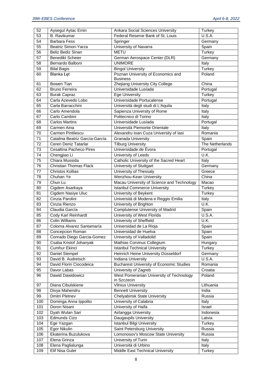| 52              | Aysegul Aytac Emin              | Ankara Social Sciences University                        | Turkey              |
|-----------------|---------------------------------|----------------------------------------------------------|---------------------|
| 53              | <b>B.</b> Ravikumar             | Federal Reserve Bank of St. Louis                        | U.S.A.              |
| 54              | <b>Barbara Fess</b>             | Springer                                                 | Germany             |
| $\overline{55}$ | Beatriz Simon-Yarza             | University of Navarra                                    | Spain               |
| 56              | Beliz Bediz Sinan               | <b>METU</b>                                              | <b>Turkey</b>       |
| 57              | <b>Benedikt Scheier</b>         | German Aerospace Center (DLR)                            | Germany             |
| 58              | Bernardo Balboni                | <b>UNIMORE</b>                                           | Italy               |
| 59              | <b>Bilal Bagis</b>              | <b>Bingol University</b>                                 | <b>Turkey</b>       |
| 60              | Blanka Łęt                      | Poznan University of Economics and                       | Poland              |
|                 |                                 | <b>Business</b>                                          |                     |
| 61              | Bowen Tian                      | Zhejiang University City College                         | China               |
| 62              | <b>Bruno Ferreira</b>           | Universidade Lusíada                                     | Portugal            |
| 63              | <b>Burak Capraz</b>             | <b>Ege University</b>                                    | <b>Turkey</b>       |
| 64              | Carla Azevedo Lobo              | Universidade Portucalense                                | Portugal            |
| 65              | Carla Barracchini               | Università degli studi di L'Aquila                       | Italy               |
| 66              | Carlo Amendola                  | Sapienza University of Rome                              | Italy               |
| 67              | Carlo Cambini                   | Politecnico di Torino                                    | Italy               |
| 68              | <b>Carlos Martins</b>           | Universidade Lusíada                                     | Portugal            |
| 69              | Carmen Aina                     | Università Piemonte Orientale                            | Italy               |
| 70              | <b>Carmen Pintilescu</b>        | Alexandru Ioan Cuza University of lasi                   | Romania             |
| 71              | Catalina Beatriz García-García  | Granada University                                       | Spain               |
| 72              | Ceren Deniz Tatarlar            | <b>Tilburg University</b>                                | The Netherlands     |
| 73              | Cesaltina Pacheco Pires         | Universidade de Évora                                    | Portugal            |
| 74              | Chengjiao Li                    | University of Leeds                                      | U.K.                |
| 75              | Chiara Mussida                  | Catholic University of the Sacred Heart                  | Italy               |
| 76              | <b>Christian Thomas Flack</b>   | <b>University of Stuttgart</b>                           | Germany             |
| 77              | <b>Christos Kollias</b>         | University of Thessaly                                   | Greece              |
| 78              | Chuhan Ye                       | Wenzhou-Kean University                                  | China               |
| 79              | Chun Lu                         | Macau University of Science and Technology               | Macao               |
| 80              | Cigdem Asarkaya                 | <b>Istanbul Commerce University</b>                      | Turkey              |
|                 |                                 |                                                          |                     |
| 81              | Cigdem Nasiye Uluc              | University of Beykent                                    | Turkey              |
| 82              | Cinzia Parolini                 | Università di Modena e Reggio Emilia                     | Italy               |
| 83              | Cinzia Rienzo                   | University of Brighton                                   | U.K.                |
| 84              | Claudia García                  | <b>Complutense University of Madrid</b>                  | Spain               |
| 85              | Cody Karl Reinhardt             | University of West Florida                               | U.S.A.              |
| 86              | <b>Colin Williams</b>           | University of Sheffield                                  | U.K.                |
| 87              | Coloma Alvarez Santamaría       | Universidad de La Rioja                                  | Spain               |
| 88              | Concepcion Roman                | Universidad de Huelva                                    | Spain               |
| 89              | Conrado Diego Garcia-Gomez      | University of Valladolid                                 | Spain               |
| 90              | Csaba Kristof Johanyak          | Mathias Corvinus Collegium                               | Hungary             |
| 91              | <b>Cumhur Ekinci</b>            | <b>Istanbul Technical University</b>                     | <b>Turkey</b>       |
| 92              | Daniel Stempel                  | Heinrich Heine University Düsseldorf                     | Germany             |
| 93              | David B. Audretsch              | Indiana University                                       | U.S.A.              |
| 94              | David Florin Ciocodeica         | <b>Bucharest University of Economic Studies</b>          | Romania             |
| 95              | Davor Labas                     | University of Zagreb                                     | Croatia             |
| 96              | Dawid Dawidowicz                | West Pomeranian University of Technology                 | Poland              |
|                 |                                 | in Szczecin                                              |                     |
| 97              | Diana Cibulskiene               | <b>Vilnius University</b>                                | Lithuania           |
| 98              | Divya Mahendru                  | <b>Bennett University</b>                                | India               |
| 99              | Dmitri Pletnev                  | <b>Chelyabinsk State University</b>                      | Russia              |
| 100             | Dominga Anna Ippolito           | University of Calabria                                   | Italy               |
| 101             | Doron Nisani                    | University of Haifa                                      | Israel              |
| 102             | Dyah Wulan Sari<br>Edmunds Cizo | Airlangga University                                     | Indonesia<br>Latvia |
| 103             |                                 | Daugavpils University                                    |                     |
| 104<br>105      | Ege Yazgan<br>Egor Nikulin      | Istanbul Bilgi University<br>Saint Petersburg University | Turkey<br>Russia    |
| 106             | Ekaterina Buzulukova            | Lomonosov's Moscow State University                      | Russia              |
| 107             | Elena Grinza                    | University of Turin                                      | Italy               |
| 108             | Elena Paglialunga               | Università di Urbino                                     | Italy               |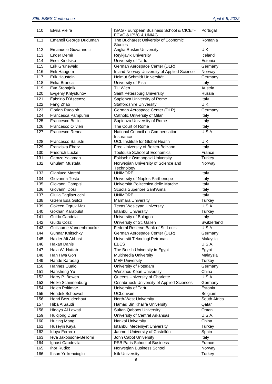| 110              | Elvira Vieira           | ISAG - European Business School & CICET-                                           | Portugal                  |
|------------------|-------------------------|------------------------------------------------------------------------------------|---------------------------|
|                  |                         | FCVC & IPVC & UNIAG                                                                |                           |
| 111              | Emanoil George Duduman  | The Bucharest University of Economic                                               | Romania                   |
|                  |                         | <b>Studies</b>                                                                     |                           |
| $\overline{112}$ | Emanuele Giovannetti    | Anglia Ruskin University                                                           | U.K.                      |
| $\overline{113}$ | <b>Ender Demir</b>      | Reykjavik University                                                               | Iceland                   |
| 114              | Eneli Kindsiko          | University of Tartu                                                                | Estonia                   |
| 115              | <b>Erik Grunewald</b>   | German Aerospace Center (DLR)                                                      | Germany                   |
| 116              | Erik Haugom             | Inland Norway University of Applied Science                                        | Norway                    |
| 117              | <b>Erik Haustein</b>    | Helmut Schmidt Universität                                                         | Germany                   |
| 118              | Erika Branca            | University of Pisa                                                                 | Italy                     |
| 119              | Eva Stopajnik           | <b>TU Wien</b>                                                                     | Austria                   |
| 120              | Evgeniy Khlystunov      | Saint Petersburg University                                                        | Russia                    |
| 121              | Fabrizio D'Ascenzo      | Sapienza University of Rome                                                        | Italy                     |
| 122              | Fang Zhao               | <b>Staffordshire University</b>                                                    | U.K.                      |
| 123              | Florian Rudolph         | German Aerospace Center (DLR)                                                      | Germany                   |
| 124              | Francesca Pampurini     | Catholic University of Milan                                                       | Italy                     |
| 125              | Francesco Bellini       | Sapienza University of Rome                                                        | Italy                     |
| 126              | Francesco Olivieri      | The Court of Rome                                                                  | Italy                     |
| 127              | Francesco Renna         | National Council on Compensation                                                   | U.S.A.                    |
|                  |                         | Insurance                                                                          |                           |
| 128              | Francesco Salustri      | <b>UCL Institute for Global Health</b>                                             | U.K.                      |
| 129              | Franziska Eberz         | Free University of Bozen-Bolzano                                                   | Italy                     |
| 130              | Friedrich Lucke         | <b>Toulouse School of Economics</b>                                                | France                    |
| 131              | Gamze Yalaman           | Eskisehir Osmangazi University                                                     | Turkey                    |
| 132              | Ghulam Mustafa          | Norwegian University of Science and                                                | Norway                    |
|                  |                         | Technology                                                                         |                           |
| 133              | Gianluca Marchi         | <b>UNIMORE</b>                                                                     | Italy                     |
| 134              | Giovanna Testa          | University of Naples Parthenope                                                    | Italy                     |
| 135              | Giovanni Campisi        | Università Politecnica delle Marche                                                | Italy                     |
| 136              | Giovanni Dosi           | Scuola Superiore Sant'Anna                                                         | Italy                     |
| 137              | Giulia Tagliazucchi     | <b>UNIMORE</b>                                                                     | Italy                     |
| 138              | Gizem Eda Guloz         | Marmara University                                                                 | Turkey                    |
| 139              | Gokcen Ogruk Maz        | <b>Texas Wesleyan University</b>                                                   | <b>U.S.A.</b>             |
| 140              | Gokhan Karabulut        | <b>Istanbul University</b>                                                         | Turkey                    |
| 141              | Guido Candela           | University of Bologna                                                              | Italy                     |
| 142              | Guido Cozzi             | University of St. Gallen                                                           | Switzerland               |
| 143              | Guillaume Vandenbroucke | Federal Reserve Bank of St. Louis                                                  | U.S.A                     |
| 144              | <b>Gunnar Knitschky</b> | German Aerospace Center (DLR)                                                      | Germany                   |
| 145              | Haider Ali Abbasi       | Universiti Teknologi Petronas                                                      | Malaysia                  |
| 146              | Hakan Danis             | <b>EBES</b>                                                                        | U.S.A.                    |
| 147              | Hala W. Hattab          | The British University in Egypt                                                    | Egypt                     |
| 148              | Han Hwa Goh             | Multimedia University                                                              | Malaysia                  |
| 149              | Hande Karadag           | <b>MEF University</b>                                                              | Turkey                    |
| 150              | Hannes Qualo            | University of Potsdam                                                              | Germany                   |
| 151              | Hansheng Yu             | Wenzhou-Kean University                                                            | China                     |
|                  |                         |                                                                                    |                           |
| 152<br>153       | Harry P. Bowen          | Queens University of Charlotte<br><b>Osnabrueck University of Applied Sciences</b> | U.S.A.                    |
|                  | Heike Schinnenburg      |                                                                                    | Germany                   |
| 154              | Helen Poltimae          | University of Tartu                                                                | Estonia                   |
| 155              | Hendrik Scheewel        | <b>UCLouvain</b>                                                                   | Belgium                   |
| 156              | Henri Bezuidenhout      | North-West University                                                              | South Africa              |
| 157              | Hiba AlSaudi            | Hamad Bin Khalifa University                                                       | Qatar                     |
| 158              | Hidaya Al Lawati        | <b>Sultan Qaboos University</b>                                                    | Oman                      |
| 159              | Huigiong Duan           | University of Central Arkansas                                                     | U.S.A.                    |
| 160              | <b>Huiting Mang</b>     | Nankai University                                                                  | $\overline{\text{China}}$ |
| 161              | Huseyin Kaya            | <b>Istanbul Medeniyet University</b>                                               | Turkey                    |
| 162              | Idoya Ferrero           | Jaume I University of Castellón                                                    | Spain                     |
| 163              | leva Jakobsone-Bellomi  | John Cabot University                                                              | Italy                     |
| 164              | Ignasi Capdevila        | PSB Paris School of Business                                                       | France                    |
| 165              | Ihor Rudko              | Norwegian Business School                                                          | Norway                    |
| 166              | Ihsan Yelkencioglu      | <b>Isik University</b>                                                             | Turkey                    |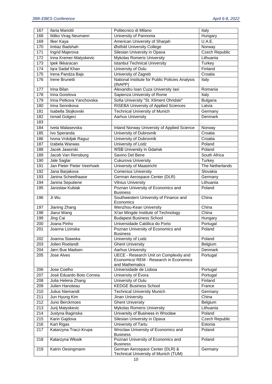| 167              | Ilaria Mariotti            | Politecnico di Milano                                                                                      | Italy                 |
|------------------|----------------------------|------------------------------------------------------------------------------------------------------------|-----------------------|
| 168              | Ildiko Virag Neumann       | University of Pannonia                                                                                     | Hungary               |
| 169              | <b>Ilker Kaya</b>          | American University of Sharjah                                                                             | U.A.E.                |
| 170              | Imtiaz Badshah             | Østfold University College                                                                                 | Norway                |
| 171              | Ingrid Majerova            | Silesian University in Opava                                                                               | <b>Czech Republic</b> |
| 172              | Inna Kremer-Matyskevic     | <b>Mykolas Romeris University</b>                                                                          | Lithuania             |
| 173              | Ipek Ilkkaracan            | <b>Istanbul Technical University</b>                                                                       | Turkey                |
| 174              | Iqra Sadaf Khan            | University of Oulu                                                                                         | Finland               |
| 175              | Irena Pandza Bajs          | University of Zagreb                                                                                       | Croatia               |
| 176              | Irene Brunetti             | National Institute for Public Policies Analysis                                                            | Italy                 |
|                  |                            | (INAPP)                                                                                                    |                       |
| 177              | <b>Irina Bilan</b>         | Alexandru Ioan Cuza University lasi                                                                        | Romania               |
| 178              | Irina Gorelova             | Sapienza University of Rome                                                                                | Italy                 |
| 179              | Irina Petkova Yanchovska   | Sofia University "St. Kliment Ohridski"                                                                    | <b>Bulgaria</b>       |
| 180              | Irina Sennikova            | <b>RISEBA University of Applied Sciences</b>                                                               | Latvia                |
| 181              | Isabella Stojkovski        | <b>Technical University of Munich</b>                                                                      | Germany               |
| 182              | <b>Ismail Golgeci</b>      | <b>Aarhus University</b>                                                                                   | Denmark               |
| 183              |                            |                                                                                                            |                       |
| 184              | Iveta Malasevska           | Inland Norway University of Applied Science                                                                | Norway                |
| 185              | Ivo Speranda               | University of Dubrovnik                                                                                    | Croatia               |
| $\overline{186}$ | Ivona Vrdoljak Raguz       | University of Dubrovnik                                                                                    | Croatia               |
| 187              | Izabela Warwas             | University of Lodz                                                                                         | Poland                |
| 188              | Jacek Jaworski             | <b>WSB University in Gdańsk</b>                                                                            | Poland                |
| 189              | Jacob Van Rensburg         | Savino Del Bene                                                                                            | South Africa          |
| 190              | Jale Saglar                | Cukurova University                                                                                        | Turkey                |
| 191              | Jan Pieter Pieter Veerhoek | University of Maastricht                                                                                   | The Netherlands       |
| 192              | Jana Barjakova             | <b>Comenius University</b>                                                                                 | Slovakia              |
| 193              | Janina Scheelhaase         | German Aerospace Center (DLR)                                                                              | Germany               |
| 194              | Janina Seputiene           | <b>Vilnius University</b>                                                                                  | Lithuania             |
| 195              | Jaroslaw Kubiak            | Poznan University of Economics and                                                                         | Poland                |
|                  |                            | <b>Business</b>                                                                                            |                       |
| 196              | Ji Wu                      | Southwestern University of Finance and<br>Economics                                                        | China                 |
| 197              | Jianing Zhang              | Wenzhou-Kean University                                                                                    | China                 |
| 198              | Jiarui Wang                | Xi'an Mingde Institute of Technology                                                                       | China                 |
| 199              | Jing Cai                   | <b>Budapest Business School</b>                                                                            | Hungary               |
| 200              | Joana Pinho                | Universidade Católica do Porto                                                                             | Portugal              |
| 201              | Joanna Lizinska            | Poznan University of Economics and                                                                         | Poland                |
|                  |                            | <b>Business</b>                                                                                            |                       |
| 202              | Joanna Stawska             | University of Lodz                                                                                         | Poland                |
| 203              | Jolien Roelandt            | <b>Ghent University</b>                                                                                    | Belgium               |
| 204              | Jørn Bue Madsen            | <b>Aarhus University</b>                                                                                   | <b>Denmark</b>        |
| 205              | Jose Alves                 | <b>UECE - Research Unit on Complexity and</b><br>Economics/ REM - Research in Economics<br>and Mathematics | Portugal              |
| 206              | Jose Coelho                | Universidade de Lisboa                                                                                     | Portugal              |
| 207              | José Eduardo Boto Correia  | University of Évora                                                                                        | Portugal              |
| 208              | Julia Helena Zhang         | University of Oulu                                                                                         | Finland               |
| 209              | Julien Hanoteau            | <b>KEDGE Business School</b>                                                                               | France                |
| 210              | Julius Niemandt            | <b>Technical University Munich</b>                                                                         | Germany               |
| 211              | Jun Hyung Kim              | Jinan University                                                                                           | China                 |
| 212              | Juno Berckmoes             | <b>Ghent University</b>                                                                                    | Belgium               |
| 213              | Jurij Matyskevic           | Mykolas Romeris University                                                                                 | Lithuania             |
| 214              | Justyna Baginska           | University of Business in Wrocław                                                                          | Poland                |
| 215              | Karin Gajdova              | Silesian University in Opava                                                                               | Czech Republic        |
| 216              | Kart Rigas                 | University of Tartu                                                                                        | Estonia               |
| 217              | Katarzyna Tracz-Krupa      | Wroclaw University of Economics and                                                                        | Poland                |
|                  |                            | <b>Business</b>                                                                                            |                       |
| 218              | Katarzyna Włosik           | Poznan University of Economics and<br><b>Business</b>                                                      | Poland                |
| 219              | Katrin Oesingmann          | German Aerospace Center (DLR) &<br>Technical University of Munich (TUM)                                    | Germany               |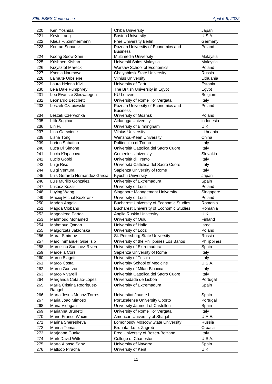| 220              | Ken Yoshida                          | <b>Chiba University</b>                         | Japan               |
|------------------|--------------------------------------|-------------------------------------------------|---------------------|
| 221              | Kevin Lang                           | <b>Boston University</b>                        | $\overline{U.S.A.}$ |
| 222              | Klaus F. Zimmermann                  | <b>Free University Berlin</b>                   | Germany             |
| 223              | Konrad Sobanski                      | Poznan University of Economics and              | Poland              |
|                  |                                      | <b>Business</b>                                 |                     |
| 224              | Koong Seow-Shin                      | Multimedia University                           | Malaysia            |
| 225              | Krishnen Kishan                      | Universiti Sains Malaysia                       | Malaysia            |
| 226              | Krzysztof Marecki                    | Warsaw School of Economics                      | Poland              |
|                  |                                      |                                                 | Russia              |
| 227              | Ksenia Naumova                       | <b>Chelyabinsk State University</b>             |                     |
| 228              | Laimute Urbsiene                     | <b>Vilnius University</b>                       | Lithuania           |
| 229              | Laura Helena Kivi                    | University of Tartu                             | Estonia             |
| 230              | Lela Dale Pumphrey                   | The British University in Egypt                 | Egypt               |
| 231              | Leo Evariste Sleuwaegen              | <b>KU Leuven</b>                                | Belgium             |
| 232              | Leonardo Becchetti                   | University of Rome Tor Vergata                  | Italy               |
| 233              | Leszek Czapiewski                    | Poznan University of Economics and              | Poland              |
|                  |                                      | <b>Business</b>                                 |                     |
| 234              | Leszek Czerwonka                     | University of Gdańsk                            | Poland              |
| 235              | Lilik Sugiharti                      | Airlangga University                            | indonesia           |
| 236              | Lin Fu                               | University of Birmingham                        | U.K.                |
| 237              | Lina Garsviene                       | <b>Vilnius University</b>                       | Lithuania           |
| 238              | Lisha Tong                           | Wenzhou-Kean University                         | China               |
| 239              | Lorien Sabatino                      | Politecnico di Torino                           | Italy               |
| 240              | Luca Di Simone                       | Università Cattolica del Sacro Cuore            | Italy               |
|                  |                                      |                                                 | Slovakia            |
| 241              | Lucia Klapacova                      | <b>Comenius University</b>                      |                     |
| 242              | Lucio Gobbi                          | Università di Trento                            | Italy               |
| 243              | Luigi Riso                           | Università Cattolica del Sacro Cuore            | Italy               |
| 244              | Luigi Ventura                        | Sapienza University of Rome                     | Italy               |
| 245              | Luis Gerardo Hernandez Garcia        | Kyushu University                               | Japan               |
| 246              | Luis Murillo Gonzalez                | University of Extremadura                       | Spain               |
| 247              | Lukasz Kozar                         | University of Lodz                              | Poland              |
|                  |                                      |                                                 |                     |
| 248              | Luying Wang                          | <b>Singapore Management University</b>          | Singapore           |
| 249              | Maciej Michal Kozlowski              | University of Lodz                              | Poland              |
|                  |                                      |                                                 | Romania             |
| 250              | Madan Angela                         | <b>Bucharest University of Economic Studies</b> |                     |
| 251              | Magda Ciobanu                        | <b>Bucharest University of Economic Studies</b> | Romania             |
| 252              | Magdalena Partac                     | Anglia Ruskin University                        | U.K.                |
| 253              | Mahmoud Mohamed                      | University of Oulu                              | Finland             |
| 254              | Mahmoud Qadan                        | University of Haifa                             | Israel              |
| 255              | Małgorzata Jabłońska                 | University of Lodz                              | Poland              |
| 256              | Marat Smirnov                        | St. Petersburg State University                 | Russia              |
| 257              | Marc Immanuel Gibe Isip              | University of the Philippines Los Banos         | Philippines         |
| 258              | Marcelino Sanchez-Rivero             | University of Extremadura                       | Spain               |
| 259              | Marcella Corsi                       | Sapienza University of Rome                     | Italy               |
| 260              | Marco Biagetti                       | University of Tuscia                            | Italy               |
| $\overline{261}$ | Marco Costa                          | University School of Medicine                   | U.S.A.              |
| 262              | Marco Guerzoni                       | University of Milan-Bicocca                     | Italy               |
| 263              |                                      | Università Cattolica del Sacro Cuore            | Italy               |
|                  | Marco Vivarelli                      |                                                 |                     |
| 264              | Margarida Catalao-Lopes              | Universidade de Lisboa                          | Portugal            |
| 265              | María Cristina Rodríguez-            | University of Extremadura                       | Spain               |
|                  | Rangel                               |                                                 |                     |
| 266              | María Jesus Munoz-Torres             | Universitat Jaume I                             | Spain               |
| 267              | Maria Joao Mimoso                    | Portucalense University Oporto                  | Portugal            |
| 268              | Maria Vidagan                        | University Jaume I of Castellón                 | Spain               |
| 269              | Marianna Brunetti                    | University of Rome Tor Vergata                  | Italy               |
| 270              | Marie-France Waxin                   | American University of Sharjah                  | U.A.E.              |
| 271              | Marina Sheresheva                    | Lomonosov Moscow State University               | Russia              |
| 272              | Marina Tomas                         | Brunata d.o.o. Zagreb                           | Croatia             |
| 273              | Marjaana Gunkel                      | Free University of Bozen-Bolzano                | Italy               |
| 274              | Mark David Witte                     | College of Charleston                           | U.S.A.              |
| 275<br>276       | Marta Alonso Sanz<br>Matloob Piracha | University of Navarra<br>University of Kent     | Spain<br>U.K.       |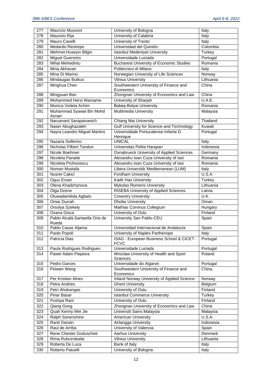| 277 | Maurizio Mussoni               | University of Bologna                              | Italy         |
|-----|--------------------------------|----------------------------------------------------|---------------|
| 278 | Maurizio Rija                  | University of Calabria                             | Italy         |
| 279 | Mauro Caselli                  | University of Trento                               | Italy         |
| 280 | Medardo Restrepo               | Universidad del Quindío                            | Colombia      |
| 281 | Mehmet Huseyin Bilgin          | <b>Istanbul Medeniyet University</b>               | Turkey        |
| 282 | Miguel Guerreiro               | Universidade Lusíada                               | Portugal      |
| 283 | Mihai Mehedintu                | <b>Bucharest University of Economic Studies</b>    | Romania       |
| 284 | Mina Akhavan                   | Politecnico di Milano                              | Italy         |
| 285 | Mina Di Marino                 | Norwegian University of Life Sciences              | Norway        |
| 286 | Mindaugas Butkus               | <b>Vilnius University</b>                          | Lithuania     |
| 287 | Minghua Chen                   | Southwestern University of Finance and             | China         |
|     |                                | Economics                                          |               |
| 288 | Mingyuan Ban                   | Zhongnan University of Economics and Law           | China         |
| 289 | Mohammed Hersi Warsame         | University of Sharjah                              | U.A.E.        |
| 290 | Monica Violeta Achim           | Babeș-Bolyai University                            | Romania       |
| 291 | Muhammad Syawal Bin Mohd       | Multimedia University                              | Malaysia      |
|     | Aznan                          |                                                    |               |
| 292 | Naruanard Sarapaivanich        | Chiang Mai University                              | Thailand      |
| 293 | Naser Abughazaleh              | Gulf University for Science and Technology         | Kuwait        |
| 294 | Nayra Leandro Miguel Martins   | Universidade Portucalense Infante D.               | Portugal      |
| 295 | Nazaria Solferino              | Henrique<br><b>UNICAL</b>                          | Italy         |
| 296 | Nicholas Filbert Tandun        | Universitas Pelita Harapan                         | Indonesia     |
| 297 | Nicole Boehmer                 | Osnabrueck University of Applied Sciences          | Germany       |
| 298 | Nicoleta Panaite               | Alexandru Ioan Cuza University of lasi             | Romania       |
| 299 | Nicoleta Prohozescu            | Alexandru Ioan Cuza University of Iasi             | Romania       |
| 300 | Noman Mustafa                  | Libera Università 'Mediterranean (LUM)             | Italy         |
| 301 | <b>Nusret Cakici</b>           | Fordham University                                 | <b>U.S.A.</b> |
| 302 | Oguz Ersan                     | Kadir Has University                               | Turkey        |
| 303 | Olena Khadzhynova              | <b>Mykolas Romeris University</b>                  | Lithuania     |
| 304 | Olga Dzene                     | <b>RISEBA University of Applied Sciences</b>       | Latvia        |
| 305 | Oluwadamilola Agbato           | <b>Coventry University</b>                         | U.K.          |
| 306 | Omar Durrah                    | <b>Dhofar University</b>                           | Oman          |
| 307 | Orsolya Szekely                | Mathias Corvinus Collegium                         | Hungary       |
| 308 | Oxana Gisca                    | University of Oulu                                 | Finland       |
| 309 | Pablo Alcalá-Santaella Oria de | University San Pablo-CEU                           | Spain         |
|     | Rueda                          |                                                    |               |
| 310 | Pablo Casas Aljama             | Universidad Internacional de Andalucía             | Spain         |
| 311 | Paolo Popoli                   | University of Naples Parthenope                    | Italy         |
| 312 | Patrícia Dias                  | ISAG - European Business School & CICET-           | Portugal      |
|     |                                | <b>FCVC</b>                                        |               |
| 313 | Paula Rodrigues Rodrigues      | Universidade Lusíada                               | Portugal      |
| 314 | Pawel Adam Piepiora            | Wroclaw University of Health and Sport<br>Sciences | Poland        |
| 315 | Pedro Garces                   | Universidade do Algarve                            | Portugal      |
| 316 | Peiwen Wang                    | Southwestern University of Finance and             | China         |
|     |                                | Economics                                          |               |
| 317 | Per Kristian Alnes             | <b>Inland Norway University of Applied Science</b> | Norway        |
| 318 | Petra Andries                  | <b>Ghent University</b>                            | Belgium       |
| 319 | Petri Ahokangas                | University of Oulu                                 | Finland       |
| 320 | Pinar Basar                    | <b>Istanbul Commerce University</b>                | Turkey        |
| 321 | Pushpa Rani                    | University of Oulu                                 | Finland       |
| 322 | Qiang Gong                     | Zhongnan University of Economics and Law           | China         |
| 323 | Quah Kenny Wei Jie             | Universiti Sains Malaysia                          | Malaysia      |
| 324 | Ralph Sonenshine               | American University                                | U.S.A.        |
| 325 | Ranti Darwin                   | Airlangga University                               | Indonesia     |
| 326 | Raul de Arriba                 | University of Valencia                             | Spain         |
| 327 | Rene Chester Goduscheit        | <b>Aarhus University</b>                           | Denmark       |
| 328 | Rima Rubcinskaite              | <b>Vilnius University</b>                          | Lithuania     |
| 329 | Roberta De Luca                | Bank of Italy                                      | Italy         |
| 330 | Roberto Patuelli               | University of Bologna                              | Italy         |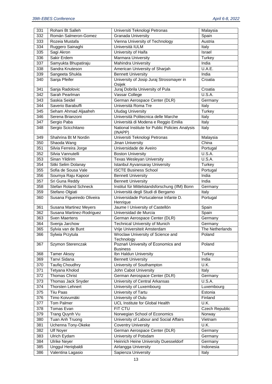| 331 | Rohani Bt Salleh             |                                                  |                 |
|-----|------------------------------|--------------------------------------------------|-----------------|
|     |                              | Universiti Teknologi Petronas                    | Malaysia        |
| 332 | Román Salmeron-Gomez         | <b>Granada University</b>                        | Spain           |
| 333 | Rozeia Mustafa               | Vienna University of Technology                  | Austria         |
| 334 | Ruggero Sainaghi             | Università IULM                                  | Italy           |
| 335 | Sagi Akron                   | University of Haifa                              | Israel          |
| 336 | Sakir Erdem                  | <b>Marmara University</b>                        | <b>Turkey</b>   |
| 337 | Samyukta Bhupatiraju         | Mahindra University                              | India           |
| 338 | Sandra Knuteson              | American University of Sharjah                   | U.A.E.          |
| 339 | Sangeeta Shukla              | <b>Bennett University</b>                        | India           |
|     |                              |                                                  |                 |
| 340 | Sanja Pfeifer                | University of Josip Juraj Strossmayer in         | Croatia         |
|     |                              | Osijek                                           |                 |
| 341 | Sanja Radolovic              | Juraj Dobrila University of Pula                 | Croatia         |
| 342 | Sarah Pearlman               | Vassar College                                   | U.S.A.          |
| 343 | Saskia Seidel                | German Aerospace Center (DLR)                    | Germany         |
| 344 | Saverio Barabuffi            | Università Roma Tre                              | Italy           |
| 345 | Seham Ahmad Aljaafreh        | <b>Uludag University</b>                         | <b>Turkey</b>   |
| 346 | Serena Brianzoni             | Università Politecnica delle Marche              | Italy           |
| 347 | Sergio Paba                  | Università di Modena e Reggio Emilia             | Italy           |
| 348 | Sergio Scicchitano           | National Institute for Public Policies Analysis  | Italy           |
|     |                              | (INAPP)                                          |                 |
| 349 | Shahrina Bt M Nordin         | Universiti Teknologi Petronas                    | Malaysia        |
| 350 | Shaoda Wang                  | <b>Jinan University</b>                          | China           |
| 351 | Silvia Ferreira Jorge        | Universidade de Aveiro                           | Portugal        |
| 352 | Silvia Vannutelli            |                                                  | U.S.A.          |
|     |                              | <b>Boston University</b>                         |                 |
| 353 | Sinan Yildirim               | <b>Texas Wesleyan University</b>                 | U.S.A.          |
| 354 | Sitki Selim Dolanay          | Istanbul Ayvansaray University                   | Turkey          |
| 355 | Sofia de Sousa Vale          | <b>ISCTE Business School</b>                     | Portugal        |
| 356 | Soumya Raju Kapoor           | <b>Bennett University</b>                        | India           |
| 357 | Sri Guna Reddy               | <b>Bennett University</b>                        | India           |
| 358 | <b>Stefan Roland Schneck</b> | Institut für Mittelstandsforschung (IfM) Bonn    | Germany         |
| 359 | Stefano Olgiati              | Università degli Studi di Bergamo                | Italy           |
| 360 | Susana Figueiredo Oliveira   | Universidade Portucalense Infante D.<br>Henrique | Portugal        |
| 361 | Susana Martinez Meyers       | Jaume I University of Castellón                  | Spain           |
| 362 | Susana Martinez-Rodriguez    | Universidad de Murcia                            | Spain           |
| 363 | Sven Maertens                | German Aerospace Center (DLR)                    | Germany         |
| 364 | Svenja Jarchow               | <b>Technical University of Munich</b>            | Germany         |
|     |                              |                                                  |                 |
| 365 | Sylvia van de Bunt           | Vrije Universiteit Amsterdam                     | The Netherlands |
| 366 | Sylwia Przytula              | Wroclaw University of Science and                | Poland          |
|     |                              | Technology                                       |                 |
| 367 | Szymon Sterenczak            | Poznań University of Economics and               | Poland          |
|     |                              |                                                  |                 |
| 368 |                              | <b>Business</b>                                  |                 |
|     | <b>Tamer Aksoy</b>           | Ibn Haldun University                            | Turkey          |
| 369 | Tanvi Sidana                 | <b>Bennett University</b>                        | India           |
| 370 | <b>Taufiq Choudhry</b>       | University of Southampton                        | U.K.            |
| 371 | Tetyana Kholod               | John Cabot University                            | Italy           |
| 372 | Thomas Christ                | German Aerospace Center (DLR)                    | Germany         |
| 373 | Thomas Jack Snyder           | University of Central Arkansas                   | U.S.A.          |
| 374 | Thorsten Lehnert             | University of Luxembourg                         | Luxembourg      |
| 375 | <b>Tiiu Paas</b>             | University of Tartu                              | Estonia         |
|     |                              |                                                  |                 |
| 376 | Timo Koivumäki               | University of Oulu                               | Finland         |
| 377 | Tom Palmer                   | <b>UCL Institute for Global Health</b>           | U.K.            |
| 378 | Tomas Evan                   | FIT CTU                                          | Czech Republic  |
| 379 | Trang Quynh Vu               | Norwegian School of Economics                    | Norway          |
| 380 | Tuan Anh Truong              | University of Labour and Social Affairs          | Vietnam         |
| 381 | Uchenna Tony-Okeke           | <b>Coventry University</b>                       | U.K.            |
| 382 | <b>Ulf Noyer</b>             | German Aerospace Center (DLR)                    | Germany         |
| 383 | Ulrich Eydam                 | University of Potsdam                            | Germany         |
| 384 | <b>Ulrike Neyer</b>          | Heinrich Heine University Duesseldorf            | Germany         |
| 385 | Unggul Heriqbaldi            | Airlangga University                             | Indonesia       |